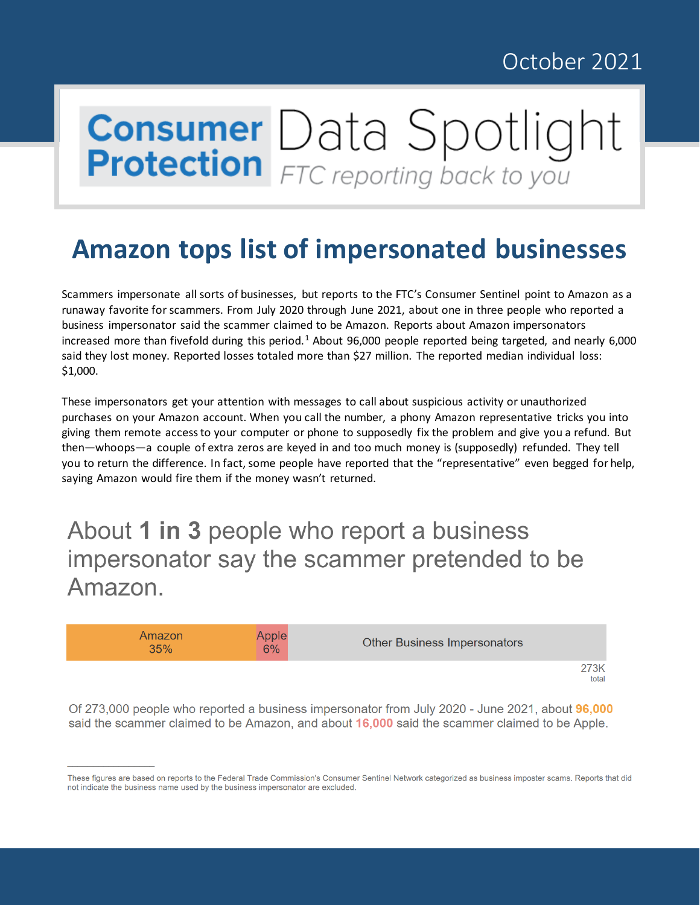## October 2021

## **Consumer** Data Spotlight

## **Amazon tops list of impersonated businesses**

Scammers impersonate all sorts of businesses, but reports to the FTC's Consumer Sentinel point to Amazon as a runaway favorite for scammers. From July 2020 through June 2021, about one in three people who reported a business impersonator said the scammer claimed to be Amazon. Reports about Amazon impersonators increased more than fivefold during this period.<sup>[1](#page-2-0)</sup> About 96,000 people reported being targeted, and nearly 6,000 said they lost money. Reported losses totaled more than \$27 million. The reported median individual loss: \$1,000.

These impersonators get your attention with messages to call about suspicious activity or unauthorized purchases on your Amazon account. When you call the number, a phony Amazon representative tricks you into giving them remote access to your computer or phone to supposedly fix the problem and give you a refund. But then—whoops—a couple of extra zeros are keyed in and too much money is (supposedly) refunded. They tell you to return the difference. In fact, some people have reported that the "representative" even begged for help, saying Amazon would fire them if the money wasn't returned.

## About 1 in 3 people who report a business impersonator say the scammer pretended to be Amazon.

| Amazon<br>35% | Apple<br>6% | <b>Other Business Impersonators</b> |
|---------------|-------------|-------------------------------------|
|               |             | 273K<br>total                       |

Of 273,000 people who reported a business impersonator from July 2020 - June 2021, about 96,000 said the scammer claimed to be Amazon, and about 16,000 said the scammer claimed to be Apple.

These figures are based on reports to the Federal Trade Commission's Consumer Sentinel Network categorized as business imposter scams. Reports that did not indicate the business name used by the business impersonator are excluded.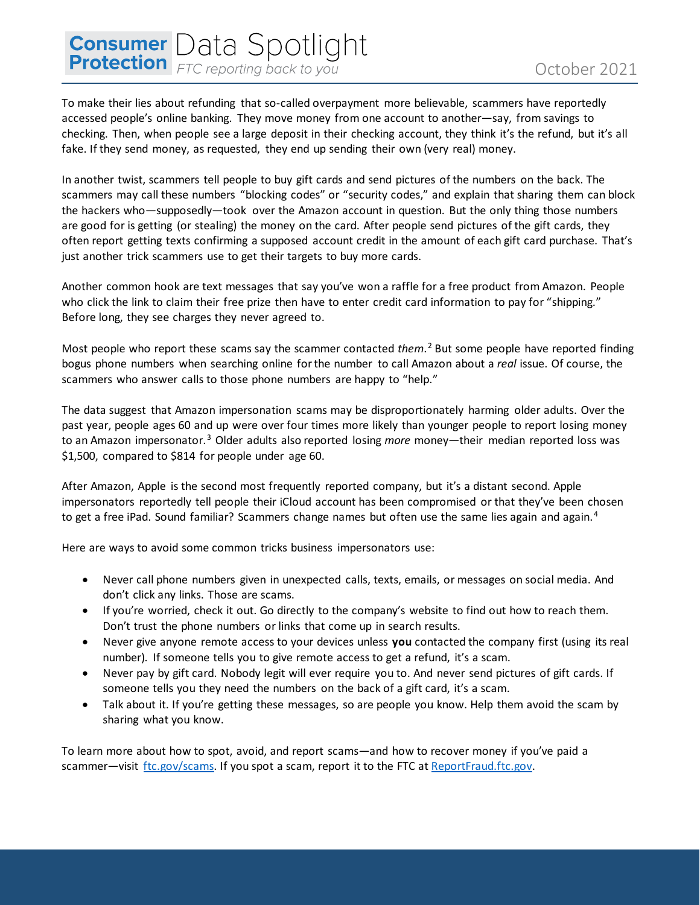**Consumer** Data Spotlight To make their lies about refunding that so-called overpayment more believable, scammers have reportedly accessed people's online banking. They move money from one account to another—say, from savings to checking. Then, when people see a large deposit in their checking account, they think it's the refund, but it's all fake. If they send money, as requested, they end up sending their own (very real) money.

In another twist, scammers tell people to buy gift cards and send pictures of the numbers on the back. The scammers may call these numbers "blocking codes" or "security codes," and explain that sharing them can block the hackers who—supposedly—took over the Amazon account in question. But the only thing those numbers are good for is getting (or stealing) the money on the card. After people send pictures of the gift cards, they often report getting texts confirming a supposed account credit in the amount of each gift card purchase. That's just another trick scammers use to get their targets to buy more cards.

Another common hook are text messages that say you've won a raffle for a free product from Amazon. People who click the link to claim their free prize then have to enter credit card information to pay for "shipping." Before long, they see charges they never agreed to.

Most people who report these scams say the scammer contacted *them*.[2](#page-2-1) But some people have reported finding bogus phone numbers when searching online for the number to call Amazon about a *real* issue. Of course, the scammers who answer calls to those phone numbers are happy to "help."

The data suggest that Amazon impersonation scams may be disproportionately harming older adults. Over the past year, people ages 60 and up were over four times more likely than younger people to report losing money to an Amazon impersonator.[3](#page-2-2) Older adults also reported losing *more* money—their median reported loss was \$1,500, compared to \$814 for people under age 60.

After Amazon, Apple is the second most frequently reported company, but it's a distant second. Apple impersonators reportedly tell people their iCloud account has been compromised or that they've been chosen to get a free iPad. Sound familiar? Scammers change names but often use the same lies again and again.<sup>[4](#page-2-3)</sup>

Here are ways to avoid some common tricks business impersonators use:

- Never call phone numbers given in unexpected calls, texts, emails, or messages on social media. And don't click any links. Those are scams.
- If you're worried, check it out. Go directly to the company's website to find out how to reach them. Don't trust the phone numbers or links that come up in search results.
- Never give anyone remote access to your devices unless **you** contacted the company first (using its real number). If someone tells you to give remote access to get a refund, it's a scam.
- Never pay by gift card. Nobody legit will ever require you to. And never send pictures of gift cards. If someone tells you they need the numbers on the back of a gift card, it's a scam.
- Talk about it. If you're getting these messages, so are people you know. Help them avoid the scam by sharing what you know.

To learn more about how to spot, avoid, and report scams—and how to recover money if you've paid a scammer—visit [ftc.gov/scams.](http://www.ftc.gov/scams) If you spot a scam, report it to the FTC at ReportFraud.ftc.gov.